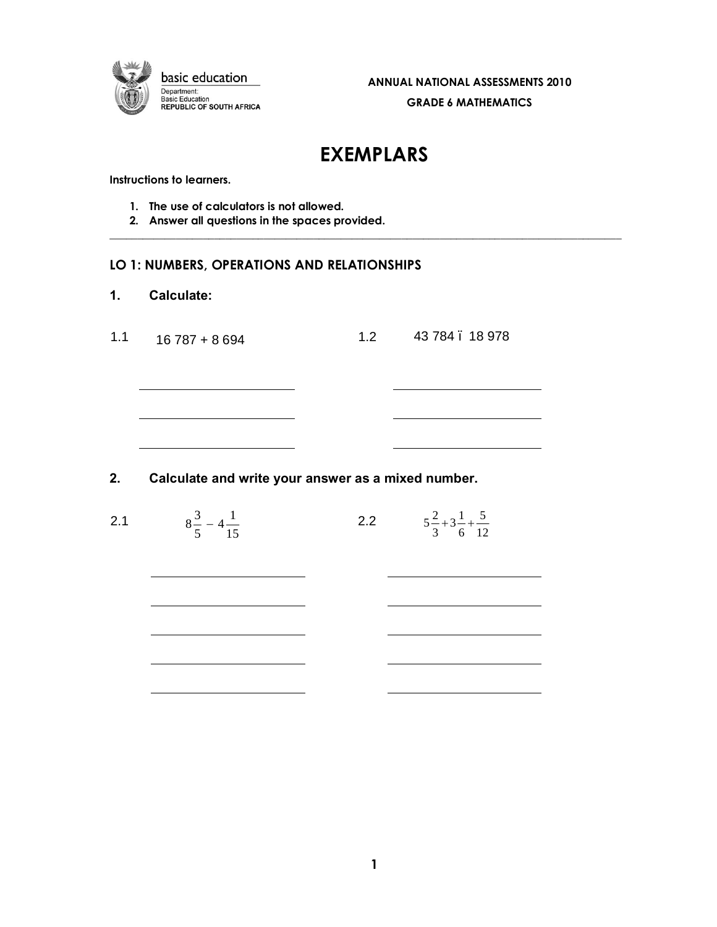

# **EXEMPLARS**

 $\_$  . The contribution of the contribution of the contribution of the contribution of the contribution of the contribution of the contribution of the contribution of the contribution of the contribution of the contributio

**Instructions to learners.**

- **1. The use of calculators is not allowed.**
- **2. Answer all questions in the spaces provided.**

## **LO 1: NUMBERS, OPERATIONS AND RELATIONSHIPS**

| 1.  | <b>Calculate:</b> |     |               |
|-----|-------------------|-----|---------------|
| 1.1 | $16787 + 8694$    | 1.2 | 43 784.18 978 |
|     |                   |     |               |
|     |                   |     |               |
|     |                   |     |               |
|     |                   |     |               |

## **2. Calculate and write your answer as a mixed number.**

| 2.1 | $8\frac{3}{5} - 4\frac{1}{15}$ | 2.2 $5\frac{2}{3}+3\frac{1}{6}+\frac{5}{12}$ |  |
|-----|--------------------------------|----------------------------------------------|--|
|     |                                |                                              |  |
|     |                                |                                              |  |
|     |                                |                                              |  |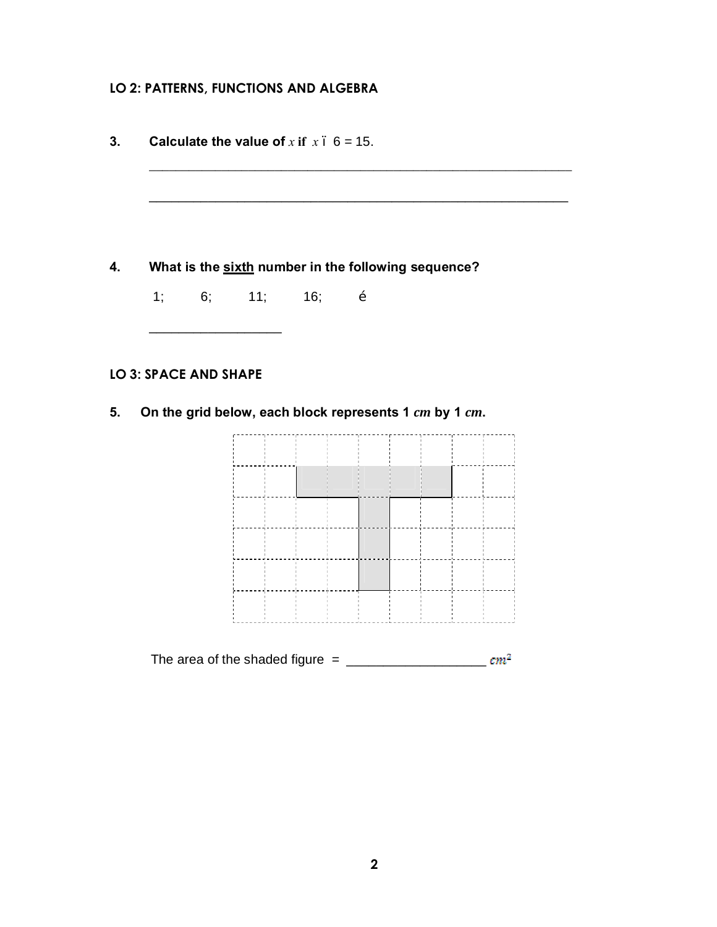## **LO 2: PATTERNS, FUNCTIONS AND ALGEBRA**

| What is the sixth number in the following sequence?    |
|--------------------------------------------------------|
|                                                        |
|                                                        |
|                                                        |
|                                                        |
|                                                        |
|                                                        |
|                                                        |
|                                                        |
|                                                        |
| On the grid below, each block represents 1 cm by 1 cm. |